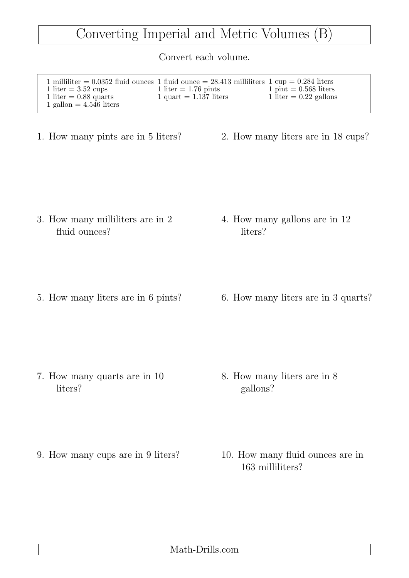## Converting Imperial and Metric Volumes (B)

Convert each volume.

| 1 milliliter = $0.0352$ fluid ounces 1 fluid ounce = 28.413 milliliters 1 cup = 0.284 liters<br>1 liter $=$ 3.52 cups | 1 liter $= 1.76$ pints   | $1 \text{ pint} = 0.568$ liters |
|-----------------------------------------------------------------------------------------------------------------------|--------------------------|---------------------------------|
| 1 liter $= 0.88$ quarts<br>1 gallon $= 4.546$ liters                                                                  | 1 quart $= 1.137$ liters | 1 liter $= 0.22$ gallons        |

- 
- 1. How many pints are in 5 liters? 2. How many liters are in 18 cups?

- 3. How many milliliters are in 2 fluid ounces?
- 4. How many gallons are in 12 liters?

- 
- 5. How many liters are in 6 pints? 6. How many liters are in 3 quarts?

- 7. How many quarts are in 10 liters?
- 8. How many liters are in 8 gallons?
- 9. How many cups are in 9 liters? 10. How many fluid ounces are in
	- 163 milliliters?